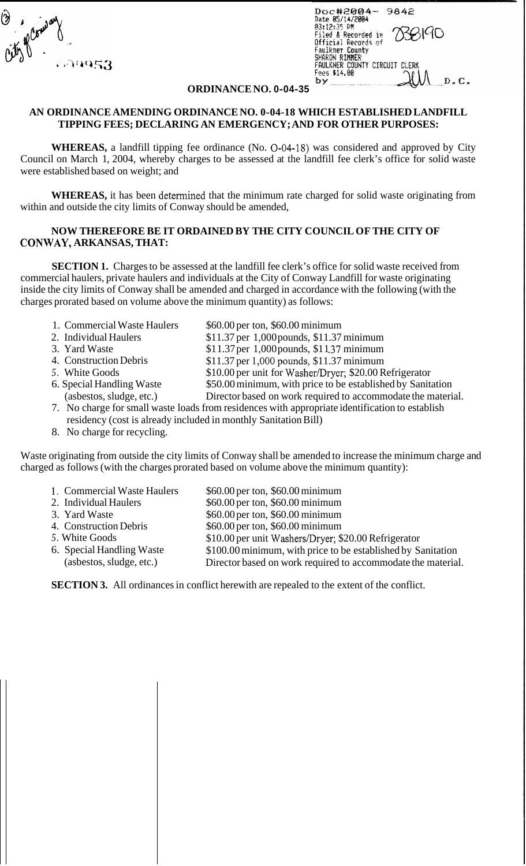*T*  29953

| Doc#2004-<br>9842                              |
|------------------------------------------------|
| Date 05/14/2004<br>03:12:35 PM                 |
| 738190<br>Filed & Recorded in                  |
| Official Records of                            |
| <b>Faulkner County</b>                         |
| SHARON RIMMER<br>FAULKNER COUNTY CIRCUIT CLERK |
| Fees \$14.00                                   |
| D.                                             |

## **ORDINANCE NO. 0-04-35**

## **AN ORDINANCE AMENDING ORDINANCE NO. 0-04-18 WHICH ESTABLISHED LANDFILL TIPPING FEES; DECLARING AN EMERGENCY; AND FOR OTHER PURPOSES:**

**WHEREAS,** a landfill tipping fee ordinance (No. 0-04-18) was considered and approved by City Council on March 1, 2004, whereby charges to be assessed at the landfill fee clerk's office for solid waste were established based on weight; and

**WHEREAS,** it has been determined that the minimum rate charged for solid waste originating from within and outside the city limits of Conway should be amended,

## **NOW THEREFORE BE IT ORDAINED BY THE CITY COUNCIL OF THE CITY OF CONWAY, ARKANSAS, THAT:**

**SECTION 1.** Charges to be assessed at the landfill fee clerk's office for solid waste received from commercial haulers, private haulers and individuals at the City of Conway Landfill for waste originating inside the city limits of Conway shall be amended and charged in accordance with the following (with the charges prorated based on volume above the minimum quantity) as follows:

- 1. Commercial Waste Haulers
- 2. Individual Haulers
- 3. Yard Waste
- 4. Construction Debris
- *5.* White Goods
- 6. Special Handling Waste (asbestos, sludge, etc.)
- \$60.00 per ton, \$60.00 minimum
- \$11.37 per 1,000 pounds, \$11.37 minimum
- \$11.37 per 1,000 pounds, \$11.37 minimum
- \$11.37 per 1,00Opounds, \$11.37 minimum
- \$10.00 per unit for Washer/Dryer; \$20.00 Refrigerator
- \$50.00 minimum, with price to be established by Sanitation
- Director based on work required to accommodate the material.
- 7. No charge for small waste loads from residences with appropriate identification to establish residency (cost is already included in monthly Sanitation Bill)
- 8. No charge for recycling.

Waste originating from outside the city limits of Conway shall be amended to increase the minimum charge and charged as follows (with the charges prorated based on volume above the minimum quantity):

| 1. Commercial Waste Haulers | \$60.00 per ton, \$60.00 minimum                             |
|-----------------------------|--------------------------------------------------------------|
| 2. Individual Haulers       | \$60.00 per ton, \$60.00 minimum                             |
| 3. Yard Waste               | \$60.00 per ton, \$60.00 minimum                             |
| 4. Construction Debris      | \$60.00 per ton, \$60.00 minimum                             |
| 5. White Goods              | \$10.00 per unit Washers/Dryer; \$20.00 Refrigerator         |
| 6. Special Handling Waste   | \$100.00 minimum, with price to be established by Sanitation |
| (asbestos, sludge, etc.)    | Director based on work required to accommodate the material. |

**SECTION 3.** All ordinances in conflict herewith are repealed to the extent of the conflict.